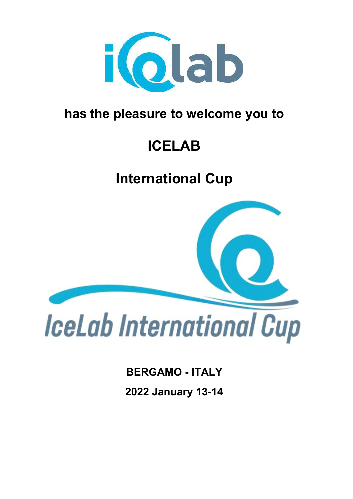

## **has the pleasure to welcome you to**

# **ICELAB**

# **International Cup**



**BERGAMO - ITALY 2022 January 13-14**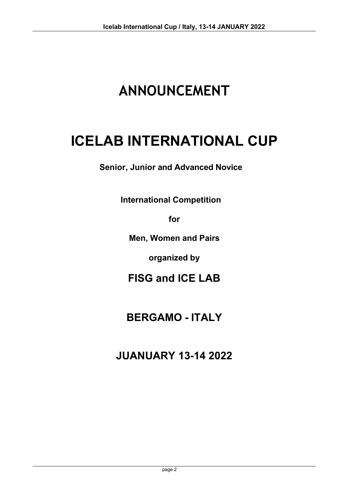# **ANNOUNCEMENT**

## **ICELAB INTERNATIONAL CUP**

**Senior, Junior and Advanced Novice** 

**International Competition**

**for**

**Men, Women and Pairs**

**organized by**

**FISG and ICE LAB**

## **BERGAMO - ITALY**

**JUANUARY 13-14 2022**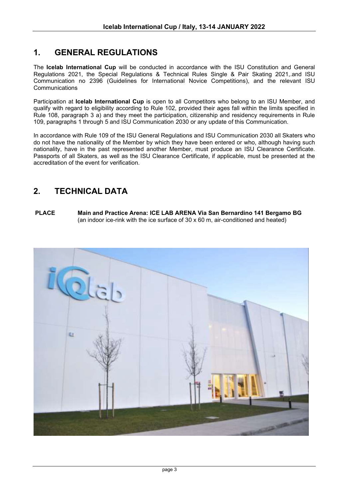## **1. GENERAL REGULATIONS**

The **Icelab International Cup** will be conducted in accordance with the ISU Constitution and General Regulations 2021, the Special Regulations & Technical Rules Single & Pair Skating 2021,.and ISU Communication no 2396 (Guidelines for International Novice Competitions), and the relevant ISU **Communications** 

Participation at **Icelab International Cup** is open to all Competitors who belong to an ISU Member, and qualify with regard to eligibility according to Rule 102, provided their ages fall within the limits specified in Rule 108, paragraph 3 a) and they meet the participation, citizenship and residency requirements in Rule 109, paragraphs 1 through 5 and ISU Communication 2030 or any update of this Communication.

In accordance with Rule 109 of the ISU General Regulations and ISU Communication 2030 all Skaters who do not have the nationality of the Member by which they have been entered or who, although having such nationality, have in the past represented another Member, must produce an ISU Clearance Certificate. Passports of all Skaters, as well as the ISU Clearance Certificate, if applicable, must be presented at the accreditation of the event for verification.

## **2. TECHNICAL DATA**

**PLACE Main and Practice Arena: ICE LAB ARENA Via San Bernardino 141 Bergamo BG** (an indoor ice-rink with the ice surface of 30 x 60 m, air-conditioned and heated)

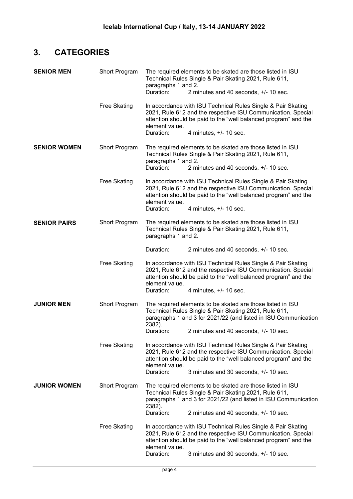## **3. CATEGORIES**

| <b>SENIOR MEN</b>   | Short Program                         | The required elements to be skated are those listed in ISU<br>Technical Rules Single & Pair Skating 2021, Rule 611,<br>paragraphs 1 and 2.<br>Duration:<br>2 minutes and 40 seconds, +/- 10 sec.                  |                                                                                                                                                                                                                             |
|---------------------|---------------------------------------|-------------------------------------------------------------------------------------------------------------------------------------------------------------------------------------------------------------------|-----------------------------------------------------------------------------------------------------------------------------------------------------------------------------------------------------------------------------|
|                     | <b>Free Skating</b>                   | element value.<br>Duration:                                                                                                                                                                                       | In accordance with ISU Technical Rules Single & Pair Skating<br>2021, Rule 612 and the respective ISU Communication. Special<br>attention should be paid to the "well balanced program" and the<br>4 minutes, $+/- 10$ sec. |
| <b>SENIOR WOMEN</b> | Short Program                         | paragraphs 1 and 2.<br>Duration:                                                                                                                                                                                  | The required elements to be skated are those listed in ISU<br>Technical Rules Single & Pair Skating 2021, Rule 611,<br>2 minutes and 40 seconds, $+/- 10$ sec.                                                              |
|                     | <b>Free Skating</b>                   | element value.<br>Duration:                                                                                                                                                                                       | In accordance with ISU Technical Rules Single & Pair Skating<br>2021, Rule 612 and the respective ISU Communication. Special<br>attention should be paid to the "well balanced program" and the<br>4 minutes, $+/- 10$ sec. |
| <b>SENIOR PAIRS</b> | Short Program                         | paragraphs 1 and 2.                                                                                                                                                                                               | The required elements to be skated are those listed in ISU<br>Technical Rules Single & Pair Skating 2021, Rule 611,                                                                                                         |
|                     |                                       | Duration:                                                                                                                                                                                                         | 2 minutes and 40 seconds, $+/- 10$ sec.                                                                                                                                                                                     |
|                     | <b>Free Skating</b>                   | element value.                                                                                                                                                                                                    | In accordance with ISU Technical Rules Single & Pair Skating<br>2021, Rule 612 and the respective ISU Communication. Special<br>attention should be paid to the "well balanced program" and the                             |
|                     |                                       | Duration:                                                                                                                                                                                                         | 4 minutes, $+/- 10$ sec.                                                                                                                                                                                                    |
| <b>JUNIOR MEN</b>   | Short Program                         | The required elements to be skated are those listed in ISU<br>Technical Rules Single & Pair Skating 2021, Rule 611,<br>paragraphs 1 and 3 for 2021/22 (and listed in ISU Communication<br>2382).                  |                                                                                                                                                                                                                             |
|                     |                                       | Duration:                                                                                                                                                                                                         | 2 minutes and 40 seconds, +/- 10 sec.                                                                                                                                                                                       |
|                     | <b>Free Skating</b><br>element value. |                                                                                                                                                                                                                   | In accordance with ISU Technical Rules Single & Pair Skating<br>2021, Rule 612 and the respective ISU Communication. Special<br>attention should be paid to the "well balanced program" and the                             |
|                     |                                       | Duration:                                                                                                                                                                                                         | 3 minutes and 30 seconds, +/- 10 sec.                                                                                                                                                                                       |
| <b>JUNIOR WOMEN</b> | Short Program                         | 2382).                                                                                                                                                                                                            | The required elements to be skated are those listed in ISU<br>Technical Rules Single & Pair Skating 2021, Rule 611,<br>paragraphs 1 and 3 for 2021/22 (and listed in ISU Communication                                      |
|                     |                                       | Duration:                                                                                                                                                                                                         | 2 minutes and 40 seconds, +/- 10 sec.                                                                                                                                                                                       |
|                     | <b>Free Skating</b>                   | In accordance with ISU Technical Rules Single & Pair Skating<br>2021, Rule 612 and the respective ISU Communication. Special<br>attention should be paid to the "well balanced program" and the<br>element value. |                                                                                                                                                                                                                             |
|                     |                                       | Duration:                                                                                                                                                                                                         | 3 minutes and 30 seconds, +/- 10 sec.                                                                                                                                                                                       |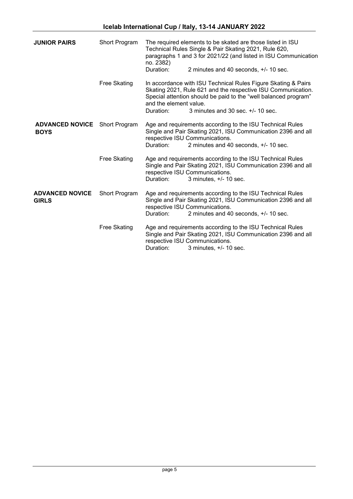| <b>JUNIOR PAIRS</b>                    | Short Program       | no. 2382)                           | The required elements to be skated are those listed in ISU<br>Technical Rules Single & Pair Skating 2021, Rule 620,<br>paragraphs 1 and 3 for 2021/22 (and listed in ISU Communication                                                  |
|----------------------------------------|---------------------|-------------------------------------|-----------------------------------------------------------------------------------------------------------------------------------------------------------------------------------------------------------------------------------------|
|                                        |                     | Duration:                           | 2 minutes and 40 seconds, +/- 10 sec.                                                                                                                                                                                                   |
|                                        | <b>Free Skating</b> | and the element value.<br>Duration: | In accordance with ISU Technical Rules Figure Skating & Pairs<br>Skating 2021, Rule 621 and the respective ISU Communication.<br>Special attention should be paid to the "well balanced program"<br>3 minutes and 30 sec. $+/-$ 10 sec. |
|                                        |                     |                                     |                                                                                                                                                                                                                                         |
| <b>ADVANCED NOVICE</b><br><b>BOYS</b>  | Short Program       | Duration:                           | Age and requirements according to the ISU Technical Rules<br>Single and Pair Skating 2021, ISU Communication 2396 and all<br>respective ISU Communications.<br>2 minutes and 40 seconds, +/- 10 sec.                                    |
|                                        | Free Skating        | Duration:                           | Age and requirements according to the ISU Technical Rules<br>Single and Pair Skating 2021, ISU Communication 2396 and all<br>respective ISU Communications.<br>3 minutes, $+/- 10$ sec.                                                 |
| <b>ADVANCED NOVICE</b><br><b>GIRLS</b> | Short Program       | Duration:                           | Age and requirements according to the ISU Technical Rules<br>Single and Pair Skating 2021, ISU Communication 2396 and all<br>respective ISU Communications.<br>2 minutes and 40 seconds, +/- 10 sec.                                    |
|                                        | Free Skating        | Duration:                           | Age and requirements according to the ISU Technical Rules<br>Single and Pair Skating 2021, ISU Communication 2396 and all<br>respective ISU Communications.<br>3 minutes, $+/- 10$ sec.                                                 |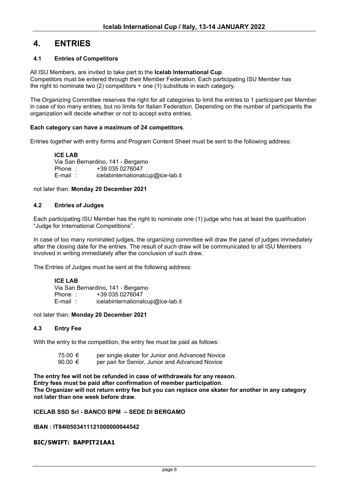### **4. ENTRIES**

#### **4.1 Entries of Competitors**

All ISU Members, are invited to take part to the **Icelab International Cup**.

Competitors must be entered through their Member Federation. Each participating ISU Member has the right to nominate two (2) competitors + one (1) substitute in each category.

The Organizing Committee reserves the right for all categories to limit the entries to 1 participant per Member in case of too many entries, but no limits for Italian Federation. Depending on the number of participants the organization will decide whether or not to accept extra entries.

#### **Each category can have a maximum of 24 competitors**.

Entries together with entry forms and Program Content Sheet must be sent to the following address:

#### **ICE LAB**

Via San Bernardino, 141 - Bergamo<br>Phone : +39 035 0276047 Phone : +39 035 0276047<br>
E-mail : icelabinternational  $icelabinternationalcup@ice-lab.it$ 

#### not later than: **Monday 20 December 2021**

#### **4.2 Entries of Judges**

Each participating ISU Member has the right to nominate one (1) judge who has at least the qualification "Judge for International Competitions".

In case of too many nominated judges, the organizing committee will draw the panel of judges immediately after the closing date for the entries. The result of such draw will be communicated to all ISU Members involved in writing immediately after the conclusion of such draw.

The Entries of Judges must be sent at the following address:

#### **ICE LAB**

Via San Bernardino, 141 - Bergamo<br>Phone : +39 035 0276047 Phone : +39 035 0276047<br>
F-mail : icelabinternational icelabinternationalcup@ice-lab.it

not later than: **Monday 20 December 2021**

#### **4.3 Entry Fee**

With the entry to the competition, the entry fee must be paid as follows:

| 75.00 € | per single skater for Junior and Advanced Novice |
|---------|--------------------------------------------------|
| 90.00 € | per pair for Senior, Junior and Advanced Novice  |

**The entry fee will not be refunded in case of withdrawals for any reason. Entry fees must be paid after confirmation of member participation. The Organizer will not return entry fee but you can replace one skater for another in any category not later than one week before draw.**

#### **ICELAB SSD Srl - BANCO BPM – SEDE DI BERGAMO**

#### **IBAN : IT84I0503411121000000044542**

#### **BIC/SWIFT: BAPPIT21AA1**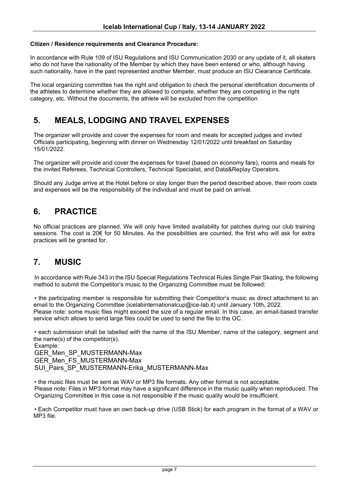#### **Citizen / Residence requirements and Clearance Procedure:**

In accordance with Rule 109 of ISU Regulations and ISU Communication 2030 or any update of it, all skaters who do not have the nationality of the Member by which they have been entered or who, although having such nationality, have in the past represented another Member, must produce an ISU Clearance Certificate.

The local organizing committee has the right and obligation to check the personal identification documents of the athletes to determine whether they are allowed to compete, whether they are competing in the right category, etc. Without the documents, the athlete will be excluded from the competition

## **5. MEALS, LODGING AND TRAVEL EXPENSES**

The organizer will provide and cover the expenses for room and meals for accepted judges and invited Officials participating, beginning with dinner on Wednesday 12/01/2022 until breakfast on Saturday 15/01/2022.

The organizer will provide and cover the expenses for travel (based on economy fare), rooms and meals for the invited Referees, Technical Controllers, Technical Specialist, and Data&Replay Operators.

Should any Judge arrive at the Hotel before or stay longer than the period described above, their room costs and expenses will be the responsibility of the individual and must be paid on arrival.

## **6. PRACTICE**

No official practices are planned. We will only have limited availability for patches during our club training sessions. The cost is 20€ for 50 Minutes. As the possibilities are counted, the first who will ask for extra practices will be granted for.

## **7. MUSIC**

In accordance with Rule 343 in the ISU Special Regulations Technical Rules Single Pair Skating, the following method to submit the Competitor's music to the Organizing Committee must be followed:

• the participating member is responsible for submitting their Competitor's music as direct attachment to an email to the Organizing Committee (icelabinternationalcup@ice-lab.it) until January 10th, 2022. Please note: some music files might exceed the size of a regular email. In this case, an email-based transfer service which allows to send large files could be used to send the file to the OC.

• each submission shall be labelled with the name of the ISU Member, name of the category, segment and the name(s) of the competitor(s).

Example: GER Men SP\_MUSTERMANN-Max GER\_Men\_FS\_MUSTERMANN-Max SUI\_Pairs\_SP\_MUSTERMANN-Erika\_MUSTERMANN-Max

• the music files must be sent as WAV or MP3 file formats. Any other format is not acceptable. Please note: Files in MP3 format may have a significant difference in the music quality when reproduced. The Organizing Committee in this case is not responsible if the music quality would be insufficient.

• Each Competitor must have an own back-up drive (USB Stick) for each program in the format of a WAV or MP3 file.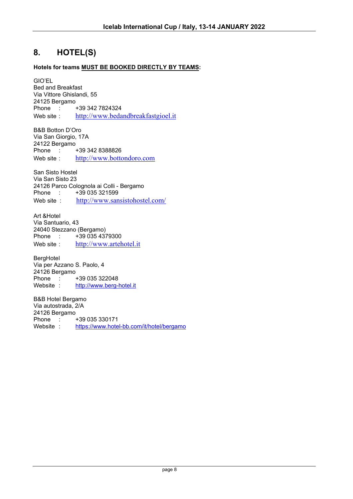## **8. HOTEL(S)**

#### **Hotels for teams MUST BE BOOKED DIRECTLY BY TEAMS:**

GIO'EL Bed and Breakfast Via Vittore Ghislandi, 55 24125 Bergamo Phone : +39 342 7824324<br>Web site : http://www.beda [http://www.bedandbreakfastgioel.it](http://www.bedandbreakfastgioel.it/)

B&B Botton D'Oro Via San Giorgio, 17A 24122 Bergamo  $\frac{1}{2}$  +39 342 8388826 Web site : [http://www.bottondoro.com](http://www.bottondoro.com/)

San Sisto Hostel Via San Sisto 23 24126 Parco Colognola ai Colli - Bergamo +39 035 321599 Web site : <http://www.sansistohostel.com/>

Art &Hotel Via Santuario, 43 24040 Stezzano (Bergamo)<br>Phone : +39 035 437 +39 035 4379300 Web site : [http://www.artehotel.it](http://www.artehotel.it/)

BergHotel Via per Azzano S. Paolo, 4 24126 Bergamo Phone : +39 035 322048<br>Website : http://www.berg[http://www.berg-hotel.it](http://www.berg-hotel.it/)

B&B Hotel Bergamo Via autostrada, 2/A 24126 Bergamo Phone : +39 035 330171<br>Website : https://www.hote <https://www.hotel-bb.com/it/hotel/bergamo>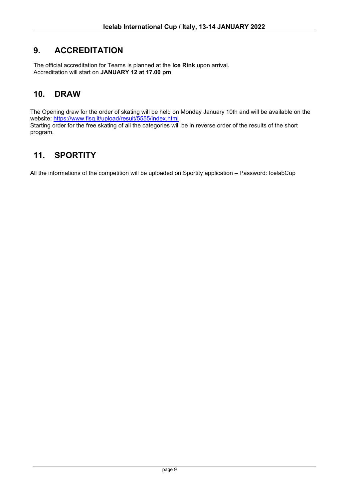## **9. ACCREDITATION**

The official accreditation for Teams is planned at the **Ice Rink** upon arrival. Accreditation will start on **JANUARY 12 at 17.00 pm**

## **10. DRAW**

The Opening draw for the order of skating will be held on Monday January 10th and will be available on the website: <https://www.fisg.it/upload/result/5555/index.html> Starting order for the free skating of all the categories will be in reverse order of the results of the short program.

## **11. SPORTITY**

All the informations of the competition will be uploaded on Sportity application – Password: IcelabCup